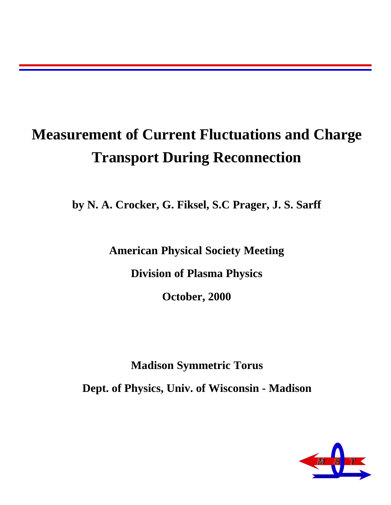### **Measurement of Current Fluctuations and Charge Transport During Reconnection**

**by N. A. Crocker, G. Fiksel, S.C Prager, J. S. Sarff**

**American Physical Society Meeting**

**Division of Plasma Physics**

**October, 2000**

**Madison Symmetric Torus**

**Dept. of Physics, Univ. of Wisconsin - Madison**

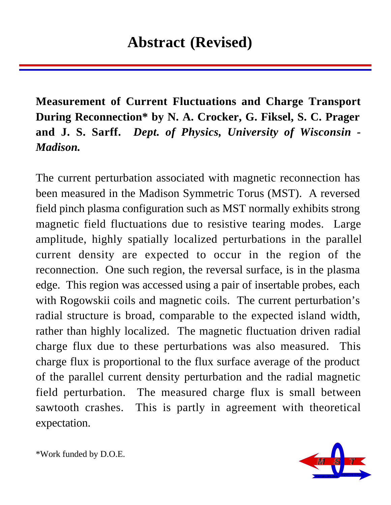**Measurement of Current Fluctuations and Charge Transport During Reconnection\* by N. A. Crocker, G. Fiksel, S. C. Prager and J. S. Sarff.** *Dept. of Physics, University of Wisconsin - Madison.*

The current perturbation associated with magnetic reconnection has been measured in the Madison Symmetric Torus (MST). A reversed field pinch plasma configuration such as MST normally exhibits strong magnetic field fluctuations due to resistive tearing modes. Large amplitude, highly spatially localized perturbations in the parallel current density are expected to occur in the region of the reconnection. One such region, the reversal surface, is in the plasma edge. This region was accessed using a pair of insertable probes, each with Rogowskii coils and magnetic coils. The current perturbation's radial structure is broad, comparable to the expected island width, rather than highly localized. The magnetic fluctuation driven radial charge flux due to these perturbations was also measured. This charge flux is proportional to the flux surface average of the product of the parallel current density perturbation and the radial magnetic field perturbation. The measured charge flux is small between sawtooth crashes. This is partly in agreement with theoretical expectation.



\*Work funded by D.O.E.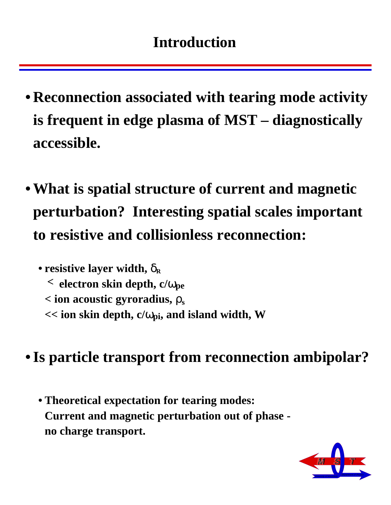- **Reconnection associated with tearing mode activity is frequent in edge plasma of MST – diagnostically accessible.**
- **What is spatial structure of current and magnetic perturbation? Interesting spatial scales important to resistive and collisionless reconnection:**

• resistive layer width,  $\delta_R$ **< electron skin depth, c/**ω**pe < ion acoustic gyroradius,** ρ**<sup>s</sup> << ion skin depth, c/**ω**pi, and island width, W** 

**• Is particle transport from reconnection ambipolar?**

**• Theoretical expectation for tearing modes: Current and magnetic perturbation out of phase no charge transport.**

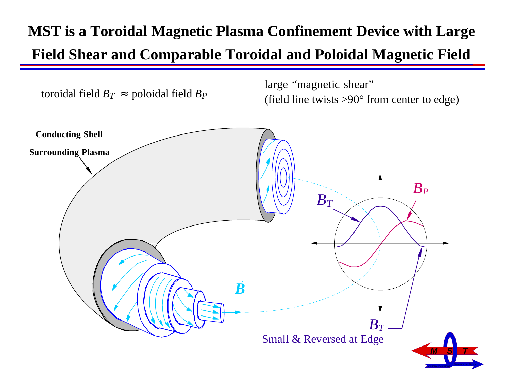## **MST is a Toroidal Magnetic Plasma Confinement Device with Large Field Shear and Comparable Toroidal and Poloidal Magnetic Field**

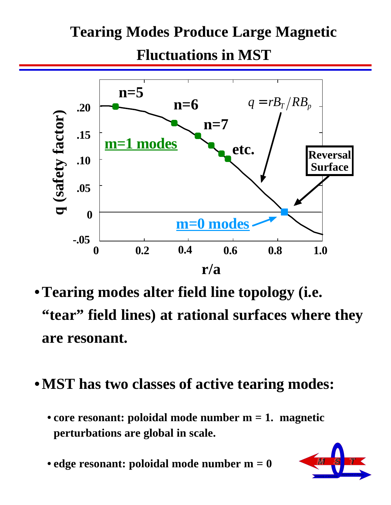# **Tearing Modes Produce Large Magnetic**

**Fluctuations in MST**



- **Tearing modes alter field line topology (i.e. "tear" field lines) at rational surfaces where they are resonant.**
- **MST has two classes of active tearing modes:**
	- **core resonant: poloidal mode number m = 1. magnetic perturbations are global in scale.**
	- **edge resonant: poloidal mode number m = 0**

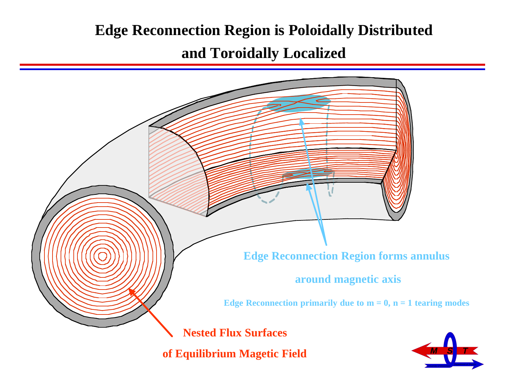### **Edge Reconnection Region is Poloidally Distributed**

### **and Toroidally Localized**

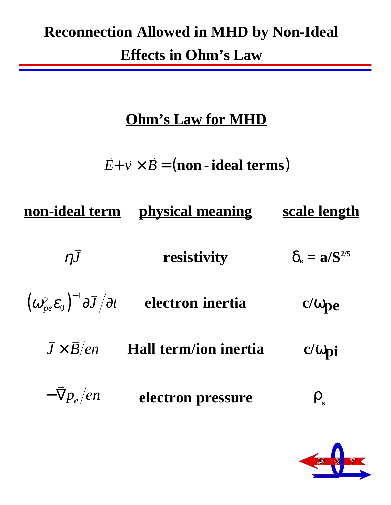### **Reconnection Allowed in MHD by Non-Ideal Effects in Ohm's Law**

### **Ohm's Law for MHD**

 $\vec{E}$ +  $\vec{v}$  ×  $\vec{B}$  = (**non** - **ideal terms**)

| non-ideal term                                                                            | physical meaning      | <u>scale length</u>                  |
|-------------------------------------------------------------------------------------------|-----------------------|--------------------------------------|
| $\eta\bar{J}$                                                                             | resistivity           | $\delta_{\rm B} = a/S^{2/5}$         |
| $\left(\omega^2_{pe}\mathcal{E}_0\right)^{-1}\partial\overline{J}\left/\partial t\right)$ | electron inertia      | $c/\omega_{pe}$                      |
| $\overline{J}\times\overline{B}/en$                                                       | Hall term/ion inertia | $c/\omega$ pi                        |
| $-\bar{\nabla}p_e/en$                                                                     | electron pressure     | $\boldsymbol{\mathsf{p}}_\textsf{s}$ |

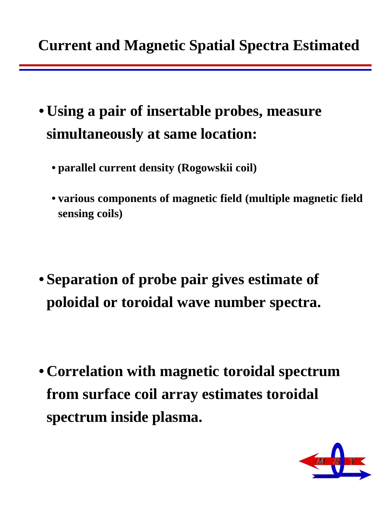- **Using a pair of insertable probes, measure simultaneously at same location:**
	- **parallel current density (Rogowskii coil)**
	- **various components of magnetic field (multiple magnetic field sensing coils)**
- **Separation of probe pair gives estimate of poloidal or toroidal wave number spectra.**
- **Correlation with magnetic toroidal spectrum from surface coil array estimates toroidal spectrum inside plasma.**

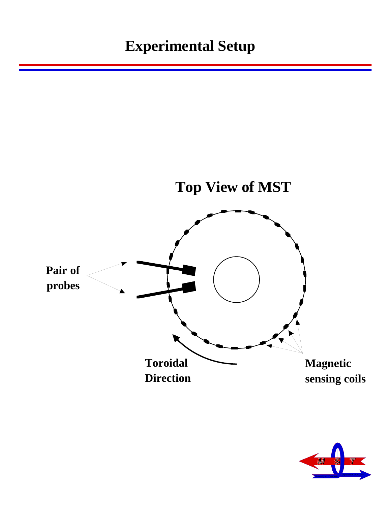

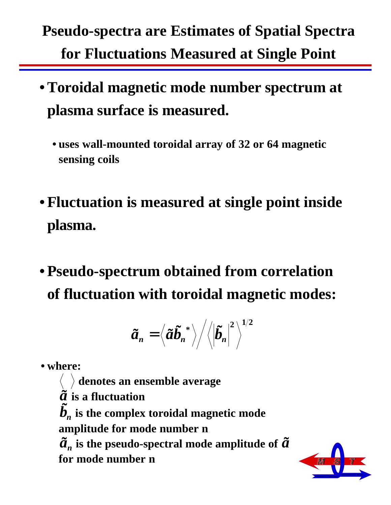# **Pseudo-spectra are Estimates of Spatial Spectra for Fluctuations Measured at Single Point**

- **Toroidal magnetic mode number spectrum at plasma surface is measured.** 
	- **uses wall-mounted toroidal array of 32 or 64 magnetic sensing coils**
- **Fluctuation is measured at single point inside plasma.**
- **Pseudo-spectrum obtained from correlation of fluctuation with toroidal magnetic modes:**

$$
\widetilde{a}_n = \left\langle \widetilde{a}\widetilde{b}_n^{\;\ast}\right\rangle \!\Big/\!\Big\langle\!\Big|\widetilde{b}_n\Big|^2\Big\rangle^{1/2}
$$

**• where:**

 **denotes an ensemble average**  $\tilde{a}$  is a fluctuation  $\boldsymbol{\tilde{b}}_n$  is the complex toroidal magnetic mode **amplitude for mode number n**  $\tilde{a}$ <sup>*n*</sup> is the pseudo-spectral mode amplitude of  $\tilde{a}$ **for mode number n**

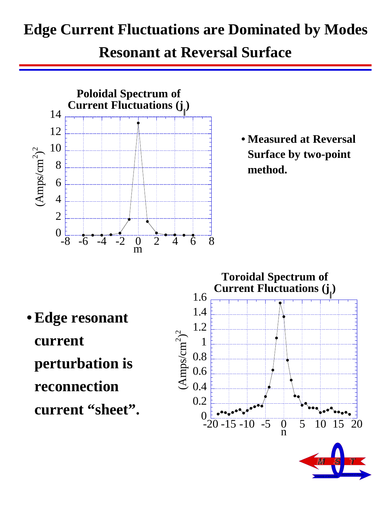### **Edge Current Fluctuations are Dominated by Modes**

#### **Resonant at Reversal Surface**



**• Measured at Reversal Surface by two-point method.**

**• Edge resonant current perturbation is reconnection current "sheet".**



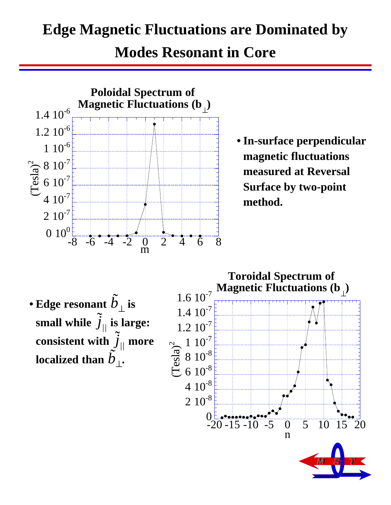#### **Edge Magnetic Fluctuations are Dominated by**

**Modes Resonant in Core**



• Edge resonant  $\tilde{b}_{\perp}$  is small while  $\widetilde{j}_{//}$  is large: **consistent with** ˜*j||* **more**  localized than  $\tilde{b}^{''}_{\perp}$ .



University of Wisconsin **Department of Physics**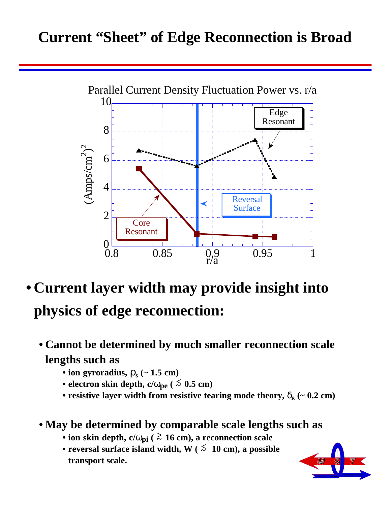#### **Current "Sheet" of Edge Reconnection is Broad**



- **Current layer width may provide insight into physics of edge reconnection:**
	- **Cannot be determined by much smaller reconnection scale lengths such as**
		- ion gyroradius,  $\rho_s$  (~ 1.5 cm)
		- electron skin depth,  $c/\omega_{pe}$  ( $\leq 0.5$  cm)
		- resistive layer width from resistive tearing mode theory,  $\delta_{\rm R}$  (~ 0.2 cm)

#### **• May be determined by comparable scale lengths such as**

- **ion skin depth, c/**ω**pi ( > ~ 16 cm), a reconnection scale**
- reversal surface island width,  $W$  ( $\leq 10$  cm), a possible **transport scale.**

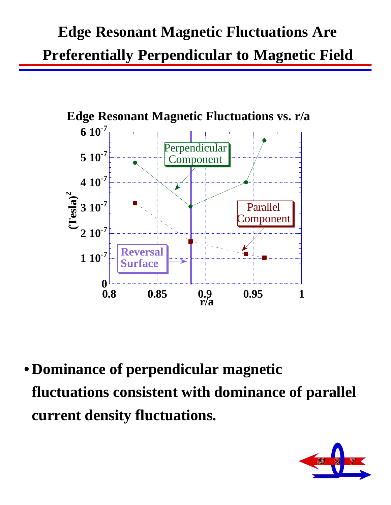# **Edge Resonant Magnetic Fluctuations Are Preferentially Perpendicular to Magnetic Field**



**• Dominance of perpendicular magnetic fluctuations consistent with dominance of parallel current density fluctuations.**

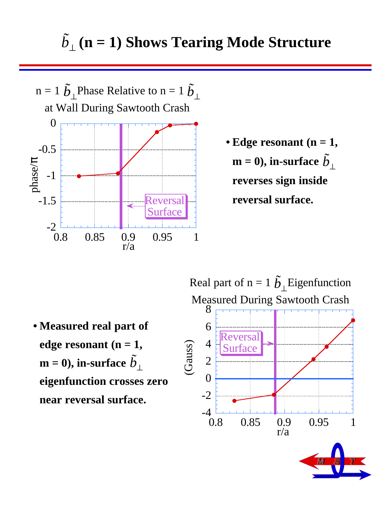

**• Edge resonant (n = 1,**   $\textbf{m} = \textbf{0}$ ), in-surface  $\tilde{b}_{\perp}$ **reverses sign inside reversal surface.**

**• Measured real part of**  edge resonant  $(n = 1,$  $\textbf{m} = \textbf{0}$ ), in-surface  $\tilde{b}_{\perp}$ **eigenfunction crosses zero near reversal surface.**



University of Wisconsin **Department of Physics** 

**MST MST**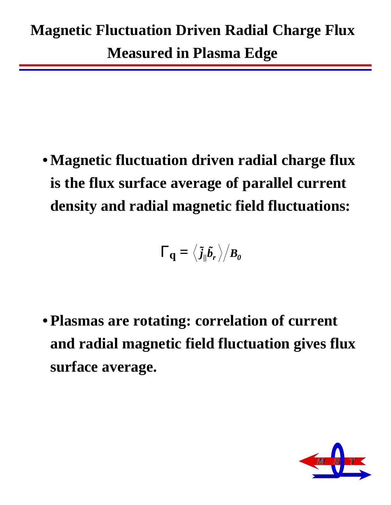**Measured in Plasma Edge**

**• Magnetic fluctuation driven radial charge flux is the flux surface average of parallel current density and radial magnetic field fluctuations:**

$$
\Gamma_{\mathbf{q}}=\left\langle \tilde{\mathbf{j}}_{\parallel}\tilde{\mathbf{b}}_{r}\right\rangle \bigl/\mathbf{B}_{\mathbf{0}}
$$

**• Plasmas are rotating: correlation of current and radial magnetic field fluctuation gives flux surface average.**

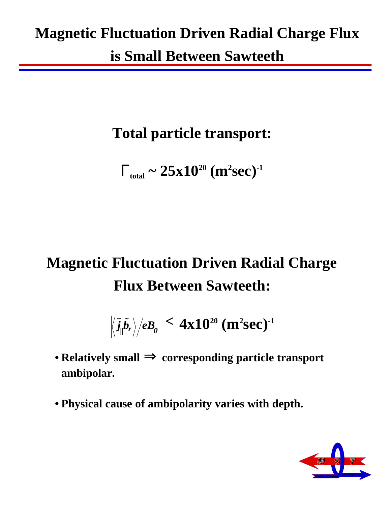### **Magnetic Fluctuation Driven Radial Charge Flux**

**is Small Between Sawteeth**

### **Total particle transport:**

 $\Gamma_{\text{total}} \sim 25 \mathrm{x} 10^{20} \ (\text{m}^2 \text{sec})^{-1}$ 

# **Magnetic Fluctuation Driven Radial Charge Flux Between Sawteeth:**

 $\left(\frac{\partial \tilde{\rho}}{\partial \tilde{\rho}}\right)/eB_{\theta} \right| \leq 4 \mathrm{x} 10^{20} \ (\mathrm{m}^2 \mathrm{sec})^{-1}$ 

- **Relatively small** ⇒ **corresponding particle transport ambipolar.**
- **Physical cause of ambipolarity varies with depth.**

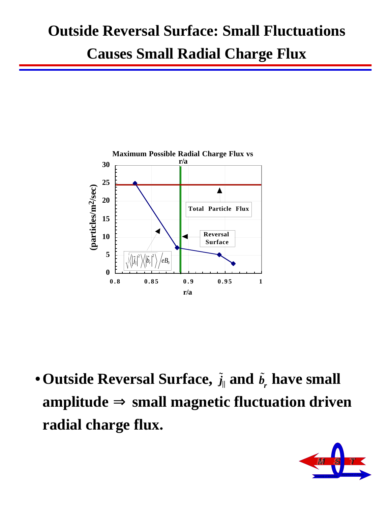#### **Outside Reversal Surface: Small Fluctuations**

**Causes Small Radial Charge Flux**



 $\bullet$  Outside Reversal Surface,  $\tilde{j}_{\parallel}$  and  $\tilde{b}_{r}$  have small **amplitude** ⇒ **small magnetic fluctuation driven radial charge flux.**

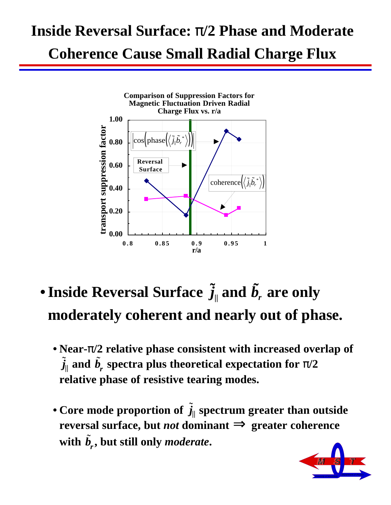### **Inside Reversal Surface:** π**/2 Phase and Moderate**

**Coherence Cause Small Radial Charge Flux**



- $\bullet$  Inside Reversal Surface  $\widetilde{j}_{\parallel}$  and  $\widetilde{b}_{r}$  are only **moderately coherent and nearly out of phase.**
	- **Near-**π**/2 relative phase consistent with increased overlap of**   $\tilde{j}_{\parallel}$  and  $\tilde{b}_{r}$  spectra plus theoretical expectation for  $\pi/2$ **relative phase of resistive tearing modes.**
	- Core mode proportion of  $\tilde{j}_\parallel$  spectrum greater than outside **reversal surface, but** *not* **dominant** ⇒ **greater coherence**  with  $\tilde{b}_r$ , but still only *moderate*.